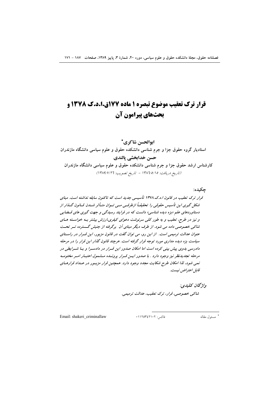# قرار ترک تعقیب موضوع تبصره ۱ ماده ۱۷۷ق.ا.د.ک ۱۳۷۸ و بحثهای پیرامون آن

ايوالحسن شاكري\* استادیار گروه حقوق جزا و جرم شناسی دانشکده حقوق و علوم سیاسی دانشگاه مازندران حسن خدابخشي يالندي کارشناس ارشد حقوق جزا و جرم شناسی دانشکده حقوق و علوم سیاسی دانشگاه مازندران (تاريخ دريافت: ١٣٨٦/٥/١٥ - تاريخ تصويب: ١٣٨٩/٧/٢٦)

جكىدە: قرار ترک تعقیب در قانون ا.د.ک.۱۳۷۸ تأسیسی جدید است که تاکنون سابقه نداشته است. مبنای شکل گیری این تأسیس حقوقبی را تحقیقیاً ازطرفیے میے تیوان متیاُثر شیدن قیانون گیذار از دستاوردهای علم «بزه دیده شناسی» دانست که در فرایند رسیدگی و جهت گیری های قبضایی و نیز در طرح، تعقیب و به طور کلبی سرنوشت دعوای کیفری،ارزش بیشتر بـه خواسـته هـای شاکی خصوصی داده می شود. از طرف دیگر مبنای آن برگرفته از جنبش گسترده تسر تحست عن*وان عدالت ت*ومیم*ی است. از این دو، می توان گفت د*ر قانون مزبور، *این قسرا*ر در راستای سیاست بزه دیده مداری مورد توجه قرار گرفته است. هرچند قانون گذار این قرار را در مرحله دادرسی بدوی پیش بینی کرده است اما امکان صدور این قسرار در دادسترا و بتا شسرایطی در مرحله تجدیدنفر نیز وجود دارد . با صدور ایسن قسرار پرونسده مشمول اعتبار امس مختومه نمی شود، لذا امکان طرح شکایت مجدد وجود دارد. همچنین قرار مزبور در عـداد قرارهـای قابل اعت<sub>ر</sub>اض<sub>،</sub> نيست.

> واژىحان يىلىدى: شاكى خصوصى، قرار، ترك تعقيب، عدالت ترميمى.

Email: shakeri criminallaw

فاكس: ١١٢٥٣٤٢١٠٢.

\* مسئول مقاله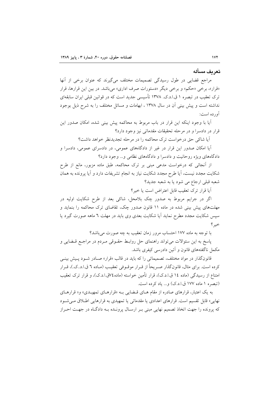#### تعريف مسأله

مراجع قضایی در طول رسیدگی تصمیمات مختلف میگیرند که عنوان برخی از آنها «قرار»، برخی «حکم» و برخی دیگر «دستورات صرف اداری» میباشد. در بین این قرارها، قرار ترک تعقیب در تبصره ۱ ق.ا.د.ک. ۱۳۷۸ تأسیسی جدید است که در قوانین قبلی ایران سابقهای نداشته است و پیش بینی آن در سال ۱۳۷۸ ، ابهامات و مسائل مختلف را به شرح ذیل بوجود آورده است:

آيا با وجود اينكه اين قرار در باب مربوط به محاكمه پيش بيني شده، امكان صدور اين قرار در دادسرا و در مرحله تحقیقات مقدماتی نیز وجود دارد؟

آیا شاکی حق درخواست ترک محاکمه را در مرحله تجدیدنظر خواهد داشت؟

آیا امکان صدور این قرار در غیر از دادگاههای عمومی، در دادسرای عمومی، دادسرا و دادگاههای ویژه روحانیت و دادسرا و دادگاههای نظامی و... وجود دارد؟

از آنجائی که درخواست مدعی مبنی بر ترک محاکمه، طبق ماده مزبور، مانع از طرح شکایت مجدد نیست، آیا طرح مجدد شکایت نیاز به انجام تشریفات دارد و آیا پرونده به همان شعبه قبلی ارجاع می شود یا به شعبه جدید؟

آيا قرار ترك تعقيب قابل اعتراض است يا خير؟

اگر در جرایم مربوط به صدور چک بلامحل، شاکی بعد از طرح شکایت اولیه در مهلتهای پیش بینی شده در ماده ۱۱ قانون صدور چک، تقاضای ترک محاکمه را بنماید و سپس شکایت مجدد مطرح نماید آیا شکایت بعدی وی باید در مهلت ٦ ماهه صورت گیرد یا خير ؟

با توجه به ماده ١٧٧ احتساب مرور زمان تعقيب به چه صورت مي باشد؟

پاسخ به این سئوالات میتواند راهنمای حل روابط حقـوقی مـردم در مراجـع قـضایی و مکمل ناگفتههای قانون و آئین دادرسی کیفری باشد.

قانونگذار در مواد مختلف، تصمیماتی را که باید در قالب «قرار» صـادر شـود پـیش بینـی كرده است. براي مثال، قانونگذار صـريحاً از قـرار موقـوفي تعقيـب (مـاده ٦ ق.ا.د..ک.)، قـرار امتناع از رسیدگی (ماده ۱۶ ق.ا.د.ک)، قرار تأمین خواسته (ماده۲۶ق.ا.د.ک)، و قرار ترک تعقیب (تبصره ١ ماده ١٧٧ ق.ا.د.ک) و... ياد کرده است.

به یک اعتبار، قرارهای صادره از مقام های قبضایی بـه «قرارهـای تمهیـدی» و« قرارهـای نهایی» قابل تقسیم است. قرارهای اعدادی یا مقدماتی یا تمهیدی به قرارهایی اطلاق می شـود که پرونده را جهت اتخاذ تصمیم نهایی مبنی بـر ارسـال پرونـده بــه دادگــاه در جهــت احــراز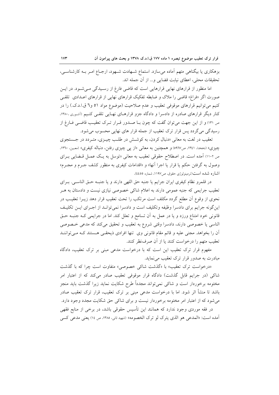بزهکاری یا بیگناهی متهم آماده می سازد. استماع شـهادت شـهود، ارجـاع امـر بـه کارشناسـی، تحقيقات محلي، اعطاي نيابت قضايي و... از آن جمله اند.

اما منظور از قرارهای نهایی قرارهایی است که قاضی فارغ از رسـیدگی مـیشـود. در ایــن صورت اگر «فراغ» قاضی را ملاک و ضابطه تفکیک قرارهای نهایی از قرارهای اعـدادی تلقـی کنیم می توانیم قرارهای موقوفی تعقیب و عدم صلاحیت (موضوع مواد ٥١ و٦ ق.ا.د.ک.) را در کنار دیگر قرارهای صادره از دادسرا و دادگاه جزو قرارهـای نهـایی تلقـی کنـیم (أشـوری ۱۳۸۰، ص ١٣١) و از اين جهت مي توان گفت كه چون بـا صـدور قـرار تـرک تعقيـب قاضـي فـارغ از رسیدگی می گردد پس قرار ترک تعقیب از جمله قرار های نهایی محسوب می شود.

تعقیب در لغت به معانی «دنبال کردن، به کوشش در طلب چیـزی، متـردد در جـستجوی چیزی» (دهخدا، ۱۳٤۱، ص۵۹٦۷) و همچنین به معانی «از یی چیزی رفتن، دنباله کیفری» (معین، ۱۳٦۰، ص ۱۱۰۲) آمده است. در اصطلاح حقوقی تعقیب به معانی «توسل به یک عمـل قـضایی بـرای وصول به گرفتن حکم یا قرار یا اجرا آنها» و «اقدامات کیفری به منظور کشف جـرم و مجـرم» اشاره شده است(ترمینولوژی حقوق، ص۱۱۹۷، شماره ٤٤٥٥).

در قلمرو نظام كيفري ايران جرايم يا جنبه حق اللهي دارند و يا جنب حق الناسبي. بـراي تعقیب جرایمی که جنبه عمومی دارند به اعلام شاکی خصوصی نیازی نیست و دادستان به هـر نحوی از وقوع اّن مطلع گردد مکلف است مرتکب را تحت تعقیب قرار دهد زیــرا تعقیــب در این گونه جرایم برای دادسرا وظیفه وتکلیف است و دادسرا نمیتوانـد از اجـرای ایـن تکلیـف قانونی خود امتناع ورزد و یا در عمل به آن تسامح و تعلل کند. اما در جرایمی کـه جنبـه حـق الناسی یا خصوصی دارند، دادسرا وقتی شروع به تعقیب و تحقیق می کند که مدعی خصوصی أن را بخواهد. مجنَّى عليه و قائم مقام قانوني وي تنها افرادي ذيحقـي هــستند كــه مــيّ تواننــد تعقيب متهم را درخواست كنند يا از آن صرفنظر كنند.

مفهوم قرار ترک تعقیب این است که با درخواست مدعی مبنی بر ترک تعقیب، دادگاه مبادرت به صدور قرار ترک تعقیب می نماید.

«درخواست ترک تعقیب» با «گذشت شاک<sub>ی</sub> خصوصی» متفاوت است چرا که با گذشت شاکی (در جرایم قابل گذشت) دادگاه قرار موقوفی تعقیب صادر میکند که از اعتبار امر مختومه برخوردار است و شاکی نمیتواند مجدداً طرح شکایت نماید زیرا گذشت باید منجز باشد تا منشأ اثر شود. اما با درخواست مدعی مبنی بر ترک تعقیب، قرار ترک تعقیب صادر می شود که از اعتبار امر مختومه برخوردار نیست و برای شاکی حق شکایت مجدد وجود دارد. در فقه موردی وجود ندارد که همانند این تأسیس حقوقی باشد، در برخی از منابع فقهی آمده است: «المدعى هو الذي يترك لو ترك الخصومه» (شهيد ثاني، ١٣٨٥، ص ١٤) يعني مدعى كسي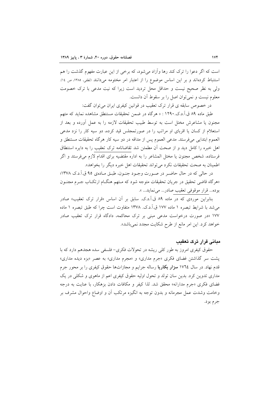است که اگر دعوا را ترک کند رها وآزاد می شود، که برخی از این عبارت مفهوم گذشت را هم استنباط کردهاند و بر این اساس موضوع را از اعتبار امر مختومه میدانند (لطفی، ۱۳۸۵، ص ۱٤). ولی به نظر صحیح نیست و حداقل محل تردید است زیرا که نیت مدعی با ترک خصومت معلوم نيست و نمي توان اصل را بر سقوط آن دانست.

در خصوص سابقه ی قرار ترک تعقیب در قوانین کیفری ایران می توان گفت:

طبق ماده ۸۹ ق.آ.د.ک. ۱۲۹۰ : « هرگاه در ضمن تحقیقات مستنطق مشاهده نماید که متهم مجنون یا مشاعرش مختل است به توسط طبیب تحقیقات لازمه را به عمل آورده و بعد از استعلام از کسان یا اقربای او مراتب را در صورتمجلس قید کرده، دو سیه کار را نزد مدعی العموم ابتدایی میفرستد. مدعی العموم پس از مداقه در دو سیه کار هرگاه تحقیقات مستنطق و اهل خبره را كامل ديد و از صحت آن مطمئن شد تقاضانامه ترك تعقيب را به دايره استنطاق فرستاده، شخص مجنون یا مختل المشاعر را به اداره مقتضیه برای اقدام لازم می فرستد و اگر اطمينان به صحت تحقيقات نكرد مي تواند تحقيقات اهل خبره ديگر را بخواهد».

در حالي كه در حال حاضر در صورت وجـود جنـون، طبـق مـادهي ٩٥ ق.آ.د.ك ١٣٧٨؛ «هرگاه قاضی تحقیق در جریان تحقیقات متوجه شود که مـتهم هنگـام ارتکـاب جـرم مجنـون بوده ... قرار موقوفي تعقيب صادر ... مي نمايد ... ».

بنابراین موردی که در ماده ۸۹ ق.آ.د.ک. سابق بر آن اساس «قرار ترک تعقیب» صادر می شد با شرایط تبصره ۱ ماده ۱۷۷ ق.آ.د.ک. ۱۳۷۸ متفاوت است چرا که طبق تبصره ۱ ماده ۱۷۷ «در صورت درخواست مدعی مبنی بر ترک محاکمه، دادگاه قرار ترک تعقیب صادر خواهد كرد. اين امر مانع از طرح شكايت مجدد نمي باشد».

#### مبانی قرار ترک تعقیب

حقوق کیفری امروز به طور کلی ریشه در تحولات فکری- فلسفی سده هجدهم دارد که با پشت سر گذاشتن فضای فکری «جرم مداری» و «مجرم مداری» به عصر «بزه دیده مداری» قدم نهاد. در سال ۱۷٦٤ **سزار بکاریا** رساله جرایم و مجازاتها حقوق کیفری را بر محور جرم مداری تدوین کرد. بدین سان تولد و تحول اولیه حقوق کیفری اعم از ماهوی و شکلی در یک فضای فکری «جرم مدارانه» محقق شد. لذا کیفر و مکافات دادن بزهکار، با عنایت به درجه وخامت وشدت عمل مجرمانه و بدون توجه به انگیزه مرتکب آن و اوضاع واحوال مشرف بر جرم بود.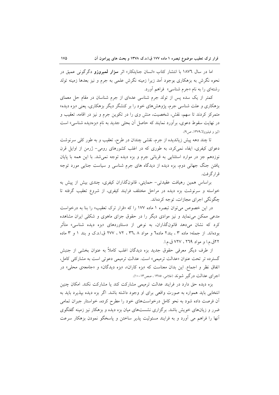اما در سال ۱۸۷**٦** با انتشار کتاب «انسان جنایتکار» اثر **سزار لمبروزو** دگرگونی عمیق در نحوه نگرش به بزهکاری بوجود اَمد زیرا زمینه نگرش علمی به جرم و نیز بعدها زمینه تولد رشتهای را به نام «جرم شناسی» فراهم أورد.

کمتر از یک سده پس از تولد جرم شناسی عدهای از جرم شناسان در مقام حل معمای بزهکاری و علت شناسی جرم، پژوهش های خود را بر کنشگر دیگر بزهکاری، یعنی «بزه دیده» متمرکز کردند تا سهم، نقش، شخصیت، منش وی را در تکوین جرم و نیز در اقامه، تعقیب و در نهایت سقوط دعوی، بر آورد نمایند که حاصل آن بحثی جدید به نام «بزهدیده شناسی» است (ليز و فيليزولا،١٣٧٩، ص٩).

تا چند دهه پیش زیاندیده از جرم، نقشی چندان در طرح، تعقیب و به طور کلی سرنوشت دعوای کیفری، ایفاء نمیکرد، به طوری که در اغلب کشورهای رومی- ژرمن از اوایل قرن نوزدهم جز در موارد استثنایی به قربانی جرم و بزه دیده توجه نمی شد. با این همه با پایان یافتن جنگ جهانی دوم، بزه دیده از دیدگاه های جرم شناسی و سیاست جنایی مورد توجه قرار گر فت.

براساس همین رهیافت عقیدتی- حمایتی، قانونگذاران کیفری، چندی بیش از پیش به خواسته و سرنوشت بزه دیده در مراحل مختلف فرایند کیفری، از شروع تعقیب گرفته تا چگونگی اجرای مجازات، توجه کردهاند.

در این خصوص می توان تبصره ۱ ماده ۱۷۷ را که «قرار ترک تعقیب» را بنا به درخواست مدعی ممکن می نماید و نیز موادی دیگر را در حقوق جزای ماهوی و شکلی ایران مشاهده کرد که نشان میدهد قانونگذاران، به نوعی از دستاوردهای «بزه دیده شناسی» متأثر بودهاند. از جمله؛ ماده ۳ ، بند۲ ماده٦ و مواد ۳٦،۸ ، ۲۲ ، ۲۷۷ ق.ا.د.ک و بند ۱ و ۳ ماده ٢٢ق.م.ا و مواد ٢٦٩ ، ٧٢٧ ق.م.ا.

از طرف دیگر معرفی حقوق جدید بزه دیدگان اغلب کاملاً به عنوان بخشی از جنبش گسترده تر تحت عنوان «عدالت ترميمي» است. عدالت ترميمي دعوتي است به مشاركتي كامل، اتفاق نظر و اجماع. این بدان معناست که «بزه کاران»، «بزه دیدگان» و «جامعهی محلی» در اجرای عدالت درگیر شوند (غلامی، ۱۳۸۵، صص۱۳-۱۰).

بزه دیده حق دارد در فرایند عدالت ترمیمی مشارکت کند یا مشارکت نکند. امکان چنین انتخابی باید همواره به صورت واقعی برای او وجود داشته باشد. اگر بزه دیده بیذیرد باید به آن فرصت داده شود به نحو کامل درخواستهای خود را مطرح کرده، خواستار جبران تمامی ضرر و زیانهای خویش باشد. برگزاری نشستهای میان بزه دیده و بزهکار نیز زمینه گفتگوی آنها را فراهم می آورد و به فرایند مسئولیت پذیر ساختن و پاسخگو نمودن بزهکار سرعت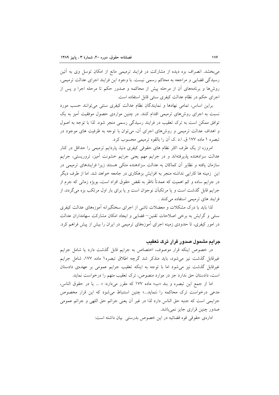می بخشد. انصراف بزه دیده از مشارکت در فرایند ترمیمی مانع از امکان توسل وی به آئین رسیدگی قضایی و مراجعه به محاکم رسمی نیست. با وجود این فرایند اجرای عدالت ترمیمی، روشها و برنامههای آن از مرحله پیش از محاکمه و صدور حکم تا مرحله اجرا و پس از اجرای حکم در نظام عدالت کیفری سنتی قابل استفاده است.

براین اساس، تمامی نهادها و نمایندگان نظام عدالت کیفری سنتی میتوانند حسب مورد نسبت به اجرای روشهای ترمیمی اقدام کنند. در چنین مواردی حصول موفقیت آمیز به یک توافق ممکن است به ترک تعقیب در فرایند رسیدگی رسمی منجر شود. لذا با توجه به اصول و اهداف عدالت ترمیمی و روشهای اجرای آن، می توان با توجه به ظرفیت های موجود در تبصره ١ ماده ١٧٧ ق. ا.د .ک آن را بالقوه ترميمي محسوب کرد.

امروزه از یک طرف اکثر نظام های حقوقی کیفری دنیا، پاردایم ترمیمی را حداقل در کنار عدالت سزادهنده پذیرفتهاند و در جرایم مهم یعنی جرایم خشونت آمیز، تروریستی، جرایم سازمان یافته و نظایر آن کماکان به عدالت سزادهنده متکی هستند زیرا فرایندهای ترمیمی در این زمینه ها کارایی نداشته منجر به افزایش بزهکاری در جامعه خواهد شد. اما از طرف دیگر در جرایم ساده و کم اهمیت که عمدتاً ناظر به نقض حقوق افراد است، بویژه زمانی که جرم از جرایم قابل گذشت است و یا مرتکبان نوجوان است و یا برای بار اول مرتکب بزه می گردد، از فرایند های ترمیمی استفاده می کنند .

لذا باید با درک مشکلات و معضلات ناشی از اجرای سختگیرانه آموزههای عدالت کیفری سنتی و گرایش به برخی اصلاحات تقنین–قضایی و ایجاد امکان مشارکت سهامداران عدالت در امور کیفری، تا حدودی زمینه اجرای آموزههای ترمیمی در ایران را بیش از پیش فراهم کرد.

# جرایم مشمول صدور قرار ترک تعقیب

در خصوص اینکه قرار موصوف، اختصاص به جرایم قابل گذشت دارد یا شامل جرایم غیرقابل گذشت نیز میشود، باید متذکر شد گرچه اطلاق تبصره۱ ماده ۱۷۷، شامل جرایم غیرقابل گذشت نیز می شود اما با توجه به اینکه تعقیب جرایم عمومی بر عهدهی دادستان است، دادستان حق ندارد جز در موارد منصوص، ترک تعقیب متهم را درخواست نماید.

اما از جمع این تبصره و بند «ب» ماده ۱۷۷ که مقرر میدارد: « ... یا در حقوق الناس، مدعی درخواست ترک محاکمه را ننماید...» چنین استنباط می شود که این قرار مخصوص جرايمي است كه جنبه حق الناس دارد لذا در غير أن يعني جرائم حق اللهي و جرائم عمومي صدور چنین قراری جایز نمیباشد.

ادارهي حقوقي قوه قضائيه در اين خصوص بدرستي بيان داشته است: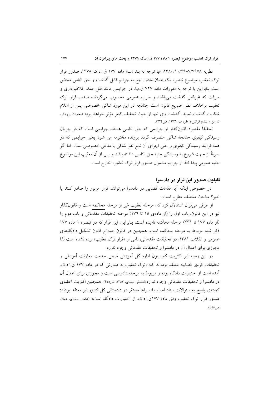نظریه ٧/٧٩٧٨-١٣٨٠/١٠/٢٩؛ «با توجه به بند «ب» ماده ١٧٧ ق.ا.د.ک ١٣٧٨، صدور قرار ترک تعقیب موضوع تبصره یک همان ماده راجع به جرایم قابل گذشت و حق الناس محض است بنابراین با توجه به مقررات ماده ۷۲۷ ق.م.ا. در جرایمی مانند قتل عمد، کلاهبرداری و سرقت که غیرقابل گذشت میباشند و جرایم عمومی محسوب میگردند، صدور قرار ترک تعقیب برخلاف نص صریح قانون است چنانچه در این مورد شاکی خصوصی پس از اعلام شکایت گذشت نماید، گذشت وی تنها از حیث تخفیف کیفر مؤثر خواهد بود» (معاونت پژوهش، تدوین و تنقیح قوانین و مقررات ،۱۳۸۳، ص۲۲٤).

تحقیقاً مقصود قانونگذار از جرایمی که حق الناسی هستند جرایمی است که در جریان رسیدگی کیفری چنانچه شاکی منصرف گردد پرونده مختومه می شود یعنی جرایمی که در همه فرایند رسیدگی کیفری و حتی اجرای آن تابع نظر شاکی یا مدعی خصوصی است. اما اگر صرفاً از جهت شروع به رسیدگی جنبه حق الناسی داشته باشد و پس از آن تعقیب این موضوع جنبه عمومی پیدا کند از جرایم مشمول صدور قرار ترک تعقیب خارج است.

#### قابلیت صدور این قرار در دادسرا

در خصوص اینکه آیا مقامات قضایی در دادسرا میتوانند قرار مزبور را صادر کنند یا خير؟ مباحث مختلف مطرح است:

از طرفی می توان استدلال کرد که، مرحله تعقیب غیر از مرحله محاکمه است و قانونگذار نیز در این قانون، باب اول را (از مادهی ۱۵ تا ۱۷٦) مرحله تحقیقات مقدماتی و باب دوم را (از ماده ۱۷۷ تا ۲۳۱) مرحله محاکمه نامیده است، بنابراین، این قرار که در تبصره ۱ ماده ۱۷۷ ذکر شده مربوط به مرحله محاکمه است، همچنین در قانون اصلاح قانون تشکیل دادگاههای عمومی و انقلاب ۱۳۸۱، در تحقیقات مقدماتی، نامی از «قرار ترک تعقیب» برده نشده است لذا مجوزی برای اعمال أن در دادسرا و تحقیقات مقدماتی وجود ندارد.

در این زمینه نیز اکثریت کمیسیون اداره کل آموزش ضمن خدمت معاونت آموزش و تحقیقات قوهی قضاییه معتقد بودهاند که: «ترک تعقیب به صورتی که در ماده ۱۷۷ ق.ا.د.ک. آمده است از اختیارات دادگاه بوده و مربوط به مرحله دادرسی است و مجوزی برای اعمال آن در دادسرا و تحقیقات مقدماتی وجود ندارد»(شاملو احمدی، ۱۳۸۳، ص۱۵۵). همچنین اکثریت اعضای کمیتهی یاسخ به سئوالات ستاد احیاء دادسراها مستقر در دادستانی کل کشور نیز معتقد بودند: صدور قرار ترک تعقیب وفق ماده ١٧٧ق.ا.د.ک. از اختیارات دادگاه است» (شاملو احمدی، همان. ص ٥٥٥).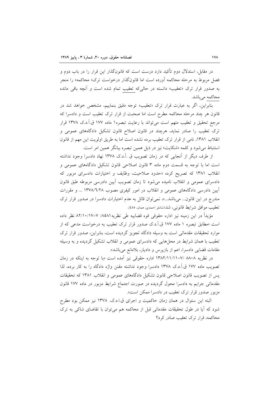در مقابل، استدلال دوم تأکید دارد درست است که قانونگذار این قرار را در باب دوم و فصل مربوط به مرحله محاکمه آورده است اما قانونگذار درخواست ترک« محاکمه» را منجر به صدور قرار ترک «تعقیب» دانسته در حالیکه تعقیب تمام شده است و آنچه باقی مانده محاكمه مى باشد.

بنابراین، اگر به عبارت قرار ترک «تعقیب» توجه دقیق بنماییم، مشخص خواهد شد در قانون هر چند مرحله محاکمه مطرح است اما صحبت از قرار ترک تعقیب است و دادسرا که مرجع تحقیق و تعقیب متهم است می تواند با رعایت تبصره۱ ماده ۱۷۷ ق.آ.د.ک ۱۳۷۸ قرار ترک تعقیب را صادر نماید، هرچند در قانون اصلاح قانون تشکیل دادگاههای عمومی و انقلاب ١٣٨١، نامي از قرار ترك تعقيب برده نشده است اما به طريق اولويت اين مهم از قانون استنباط می شود و کلمه «شکایت» نیز در ذیل همین تبصره بیانگر همین امر است.

از طرف دیگر از آنجایی که در زمان تصویب ق .آ.د.ک ۱۳۷۸ نهاد دادسرا وجود نداشته است اما با توجه به قسمت دوم ماده ۳ قانون اصلاحی قانون تشکیل دادگاههای عمومی و انقلاب ۱۳۸۱ که تصریح کرده «حدود صلاحیت، وظایف و اختیارات دادسرای مزبور که دادسرای عمومی و انقلاب نامیده می شود تا زمان تصویب آیین دادرسی مربوطه طبق قانون أيين دادرسي دادگاههاي عمومي و انقلاب در امور كيفري مصوب ١٣٧٨/٦/٢٨ … و مقررات مندرج در این قانون... میباشد...»، نمیتوان قائل به عدم اختیارات دادسرا در صدور قرار ترک تعقيب موافق شرايط قانوني، شد(شاملو احمدي، همان، ٤٥٥).

مؤيداً در اين زمينه نيز اداره حقوقي قوه قضاييه طي نظريه٨٥٨١/ ٧–٨٢/١٠/١٧ نظر داده است «مطابق تبصره ۱ ماده ۱۷۷ ق.آ.د.ک صدور قرار ترک تعقیب به درخواست مدعی که از موارد تحقیقات مقدماتی است به وسیله دادگاه تجویز گردیده است، بنابراین، صدور قرار ترک تعقیب با همان شرایط در محلهایی که دادسرای عمومی و انقلاب تشکیل گردیده و به وسیله مقامات قضایی دادسرا، اعم از بازپرس و دادیار، بلامانع می باشد».

در نظریه ۸۸۰۸ /۷–۱۳۸۲/۱۱/۱۱ اداره حقوقی نیز آمده است «با توجه به اینکه در زمان تصويب ماده ١٧٧ ق.آ.د.ک ١٣٧٨ دادسرا وجود نداشته مقنن واژه دادگاه را به کار برده، لذا یس از تصویب قانون اصلاحی قانون تشکیل دادگاههای عمومی و انقلاب ۱۳۸۱ که تحقیقات مقدماتی جرایم به دادسرا محول گردیده در صورت اجتماع شرایط مزبور در ماده ۱۷۷ قانون مزبور صدور قرار ترک تعقیب در دادسرا ممکن است».

البته این سئوال در همان زمان حاکمیت و اجرای ق.ا.د.ک. ۱۳۷۸ نیز ممکن بود مطرح شود که آیا در طول تحقیقات مقدماتی قبل از محاکمه هم میتوان با تقاضای شاکی به ترک محاکمه، قرار ترک تعقیب صادر کرد؟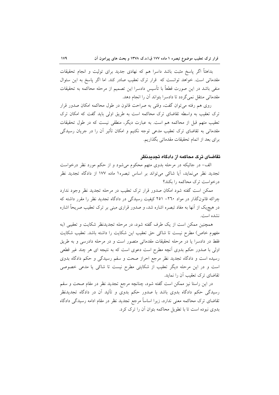بداهتاً اگر پاسخ مثبت باشد داسرا هم که نهادی جدید برای تولیت و انجام تحقیقات مقدماتی است. خواهد توانست که قرار ترک تعقیب صادر کند. اما اگر پاسخ به این سئوال منفی باشد در این صورت قطعاً با تأسیس دادسرا این تصمیم از مرحله محاکمه به تحقیقات مقدماتی منتقل نمی گردد تا دادسرا بتواند آن را انجام دهد.

روی هم رفته می توان گفت، وقتی به صراحت قانون در طول محاکمه امکان صدور قرار ترک تعقیب به واسطه تقاضای ترک محاکمه است به طریق اولی باید گفت که امکان ترک تعقیب متهم قبل از محاکمه هم است. به عبارت دیگر، منطقی نیست که در طول تحقیقات مقدماتی به تقاضای ترک تعقیب مدعی توجه نکنیم و امکان تأثیر آن را در جریان رسیدگی برای بعد از اتمام تحقیقات مقدماتی بگذاریم.

#### تقاضای ترک محاکمه از دادگاه تحدیدنظر

الف- در جائیکه در مرحله بدوی متهم محکوم میشود و از حکم مورد نظر درخواست تجدید نظر می نماید، آیا شاکی می تواند بر اساس تبصره ۱ ماده ۱۷۷ از دادگاه تجدید نظر درخواست ترک محاکمه را بکند؟

ممکن است گفته شود امکان صدور قرار ترک تعقیب در مرحله تجدید نظر وجود ندارد چراکه قانونگذار در مواد ۲۹۰– ۲۵۱ کیفیت رسیدگی در دادگاه تجدید نظر را مقرر داشته که در هیچ یک از آنها به مفاد تبصره اشاره شد، و صدور قراری مبنی بر ترک تعقیب صریحاً اشاره نشده است.

همچنین ممکن است از یک طرف گفته شود، در مرحله تجدیدنظر شکایت و تعقیبی (به مفهوم خاص) مطرح نيست تا شاكي حق تعقيب اين شكايت را داشته باشد. تعقيب شكايت فقط در دادسرا یا در مرحله تحقیقات مقدماتی متصور است و در مرحله دادرسی و به طریق اولی با صدور حکم بدوی آنچه مطرح است دعوی است که به نتیجه ای هر چند غیر قطعی رسیده است و دادگاه تجدید نظر مرجع احراز صحت و سقم رسیدگی و حکم دادگاه بدوی است و در این مرحله دیگر تعقیب از شکایتی مطرح نیست تا شاکی یا مدعی خصوصی تقاضای ترک تعقیب آن را نماید.

در این راستا نیز ممکن است گفته شود، چنانچه مرجع تجدید نظر در مقام صحت و سقم رسیدگی حکم دادگاه بدوی باشد با صدور حکم بدوی و تأئید آن در دادگاه تجدیدنظر تقاضای ترک محاکمه معنی ندارد، زیرا اساساً مرجع تجدید نظر در مقام ادامه رسیدگی دادگاه بدوی نبوده است تا با تطویل محاکمه بتوان آن را ترک کرد.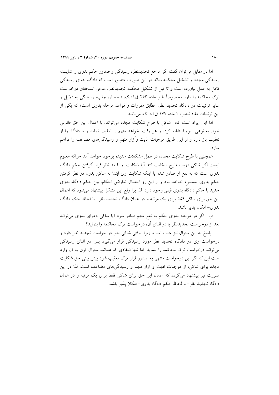اما در مقابل می توان گفت اگر مرجع تجدیدنظر، رسیدگی و صدور حکم بدوی را شایسته رسیدگی مجدد و تشکیل محکمه بداند در این صورت متصور است که دادگاه بدوی رسیدگی كامل به عمل نياورده است و تا قبل از تشكيل محكمه تجديدنظر، مدعى استحقاق درخواست ترک محاکمه را دارد مخصوصاً طبق ماده ۲۵۳ ق.ا.د.ک؛ «احضار، جلب، رسیدگی به دلایل و سایر ترتیبات در دادگاه تجدید نظر، مطابق مقررات و قواعد مرحله بدوی است» که یکی از این ترتیبات مفاد تبصره ١ ماده ١٧٧ ق.ا.د. ک. میباشد.

اما این ایراد است که، شاکی با طرح شکایت مجدد می تواند، با اعمال این حق قانونی خود، به نوعی سوء استفاده کرده و هر وقت بخواهد متهم را تعقیب نماید و یا دادگاه را از تعقیب باز دارد و از این طریق موجبات اذیت وآزار متهم و رسیدگیهای مضاعف را فراهم ساز د.

همچنین با طرح شکایت مجدد، در عمل مشکلات عدیده بوجود خواهد آمد چراکه معلوم نیست اگر شاکی دوباره طرح شکایت کند اَیا شکایت او با مد نظر قرار گرفتن حکم دادگاه بدوی است که به نفع او صادر شده یا اینکه شکایت وی ابتدا به ساکن بدون در نظر گرفتن حکم بدوی، مسموع خواهد بود و از این رو احتمال تعارض احکام، بین حکم دادگاه بدوی جدید با حکم دادگاه بدوی قبلی وجود دارد. لذا برا رفع این مشکل پیشنهاد می شود که اعمال این حق برای شاکی فقط برای یک مرتبه و در همان دادگاه تجدید نظر– با لحاظ حکم دادگاه بدوی– امکان یذیر باشد.

ب– اگر در مرحله بدوی حکم به نفع متهم صادر شود آیا شاکی دعوای بدوی میتواند بعد از درخواست تجدیدنظر یا در اثنای آن، درخواست ترک محاکمه را بنماید؟

پاسخ به این سئوال نیز مثبت است، زیرا وقتی شاکی حق در خواست تجدید نظر دارد و درخواست وی در دادگاه تجدید نظر مورد رسیدگی قرار میگیرد پس در اثنای رسیدگی می تواند درخواست ترک محاکمه را بنماید. اما تنها انتقادی که همانند سئوال فوق به آن وارد است این که اگر این درخواست منتهی به صدور قرار ترک تعقیب شود پیش بینی حق شکایت مجدد برای شاکی، از موجبات اذیت و آزار متهم و رسیدگیهای مضاعف است. لذا در این صورت نیز پیشنهاد می گردد که اعمال این حق برای شاکی فقط برای یک مرتبه و در همان دادگاه تجدید نظر – با لحاظ حکم دادگاه بدوی– امکان پذیر باشد.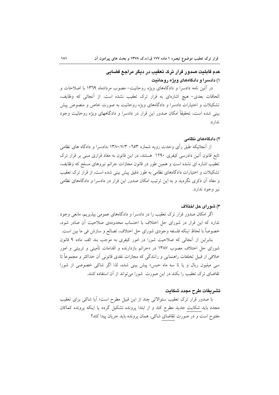# عدم قابلیت صدور قرار ترک تعقیب در دیگر مراجع قضایی ۱) دادسرا و دادگاههای ویژه روحانیت

در أئين نامه دادسرا و دادگاههاي ويژه روحانيت- مصوب مردادماه ١٣٦٩ با اصلاحات و الحاقات بعدی- هیچ اشارهای به قرار ترک تعقیب نشده است. از آنجائی که وظایف، تشکیلات و اختیارات دادسرا و دادگاههای ویژه روحانیت به صورت خاص و منصوص پیش بینی شده است، تحقیقاً امکان صدور این قرار در دادسرا و دادگاههای ویژه روحانیت وجود ندار د.

#### ۲) دادگاههای نظامی

از آنجائیکه طبق رأی وحدت رویه شماره ۳۵۳– ۱۳۸۰/۷/۳ ،دادسرا و دادگاه های نظامی تابع قانون آئین دادرسی کیفری ۱۲۹۰ هستند، در این قانون به مفاد قراری مبنی بر قرار ترک تعقیب اشاره ای نشده است و همین طور در قانون مجازات جرائم نیروهای مسلح که وظایف، تشکیلات و اختیارات دادگاههای نظامی به طور دقیق پیش بینی شده است، از قرار ترک تعقیب و مفاد آن ذکری نگردید و به این ترتیب امکان صدور این قرار در دادسرا و دادگاههای نظامی نيز وجود ندارد.

#### ۳) شورای حل اختلاف

اگر امکان صدور قرار ترک تعقیب را در دادسرا و دادگاههای عمومی بیذیریم، مانعی وجود ندارد که این قرار در شورای حل اختلاف با احتساب محدودهی صلاحیت أن صادر شود، خصوصاً با لحاظ اینکه فلسفه وجودی شورای حل اختلاف، تصالح و سازش فی ما بین است.

بنابراین از آنجائی که صلاحیت شورا در امور کیفری به موجب بند الف ماده ۹ قانون شورای حل اختلاف مصوب ۱۳۸۷ در «جرائم بازدارنده و اقدامات تأمینی و تربیتی و امور خلافي از قبيل تخلفات راهنمايي و رانندگي كه مجازات نقدي قانوني أن حداكثر و مجموعاً تا سی میلیون ریال و یا تا سه ماه حبس» پیش بینی شده، لذا اگر شاکی خصوصی از شورا تقاضای ترک تعقیب را بکند در این صورت شورا میتواند از آن استفاده کنند.

# تشريفات طرح مجدد شكايت

با صدور قرار ترک تعقیب سئوالاتی چند از این قبیل مطرح است؛ آیا شاکی برای تعقیب مجدد باید شکایت جدید مطرح کند و از ابتدا پرونده تشکیل گردد یا اینکه پرونده کماکان مفتوح است و در صورت تقاضای شاکی، همان پرونده باید جریان پیدا کند؟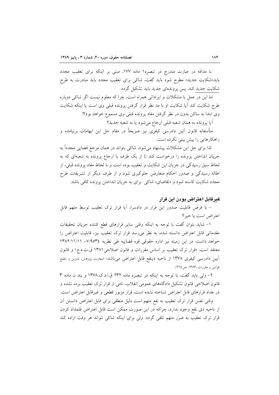با مداقه در عبارت مندرج در تبصره١ ماده ١٧٧، مبنى بر اينكه براى تعقيب مجدد باید«شکایت جدید» مطرح شود باید گفت، شاک<sub>ی</sub> برای تعقیب مجدد باید مبادرت به طرح شکایت جدید کند. پس پروندهای جدید باید تشکیل گردد.

اما این در عمل با مشکلات و ایراداتی همراه است، چرا که معلوم نیست اگر شاکی دوباره طرح شکایت کند آیا شکایت او با مد نظر قرار گرفتن پرونده قبلی وی است یا اینکه شکایت وی ابتدا به ساکن بدون در نظر گرفتن مفاد پرونده قبلی وی مسموع خواهد بود؟!

آيا پرونده به همان شعبه قبلي ارجاع مي شود يا به شعبه جديد؟

متأسفانه قانون آئین دادرسی کیفری نیز صریحاً در مقام حل این ابهامات برنیامده و راهکارهایی را پیش بینی نکرده است.

لذا برای حل این مشکلات پیشنهاد میشود، شاکی بتواند در همان مرجع قضایی مجدداً به جریان انداختن پرونده را درخواست کند تا از یک طرف با ارجاع پرونده به شعبهای که به لحاظ سبق رسیدگی در جریان این شکایت و تعقیب بوده است و با لحاظ مفاد پرونده قبلی، از اطاله رسیدگی و صدور احکام متعارض جلوگیری شود و از طرف دیگر از تشریفات طرح مجدد شکایت کاسته شود و «تقاضای» شاک<sub>ی</sub> برای به جریان انداختن پرونده کافی باشد.

## غيرقابل اعتراض بودن اين قرار

– با فرض قابلیت صدور این قرار در دادسرا، آیا قرار ترک تعقیب توسط متهم قابل اعتراض است يا خير؟

١- شايد بتوان گفت با توجه به اينكه وقتى ساير قرارهاى قطع كننده جريان تحقيقات مقدماتی قابل اعتراض دانسته شده، به نظر می رسد قرار ترک تعقیب نیز، قابلیت اعتراض را خواهد داشت. در این زمینه نیز اداره حقوقی قوه قضاییه طی نظریه ٧/٩٥٣٤– ١٣٨٢/١١/١١ معتقد است: «قرار ترک تعقیب بر اساس مقررات و قانون اصلاحی ۱۳۸۱ ق.ت.د.ع.ا و قانون اًیین دادرسی کیفری ۱۳۷۸ از ناحیه ذینفع قابل اعتراض میباشد» (معاونت پژوهش، تدوین و تنقیح قوانين و مقررات ،١٣٨٣، ص ٢٢٤).

۲- ولی باید گفت، با توجه به اینکه در تبصره ماده ۲۳۲ ق.ا.د.ک.۱۳۷۸ و بند ن ماده ۳ قانون اصلاحی قانون تشکیل دادگاههای عمومی انقلاب، نامی از قرار ترک تعقیب برده نشده و در عداد قرارهای قابل اعتراض شناخته نشده است، قرار مزبور قطعی و غیرقابل اعتراض است.

وقتی نفس قرار ترک تعقیب به نفع متهم است دلیل منطقی برای قابل اعتراض دانستن آن از ناحیه ذی نفع وجود ندارد، چراکه در این صورت ممکن است قابل اعتراض قلمداد کردن قرار ترک تعقیب به ضرر متهم تلقی گردد. ولی برای اینکه شاکی نتواند هر وقت اراده کند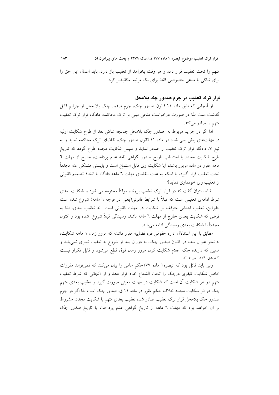متهم را تحت تعقيب قرار داده و هر وقت بخواهد از تعقيب باز دارد، بايد اعمال اين حق را برای شاکی یا مدعی خصوصی فقط برای یک مرتبه امکانیذیر کرد.

#### قرار ترک تعقیب در جرم صدور چک بلامحل

از آنجایی که طبق ماده ۱۱ قانون صدور چک، جرم صدور چک بلا محل از جرایم قابل گذشت است لذا در صورت درخواست مدعی مبنی بر ترک محاکمه، دادگاه قرار ترک تعقیب متهم را صادر میکند.

اما اگر در جرایم مربوط به صدور چک بلامحل چنانچه شاکی بعد از طرح شکایت اولیه در مهلتهای پیش بینی شده در ماده ۱۱ قانون صدور چک، تقاضای ترک محاکمه نماید و به تبع اّن دادگاه قرار ترک تعقیب را صادر نماید و سپس شکایت مجدد طرح گردد که تاریخ طرح شکایت مجدد با احتساب تاریخ صدور گواهی نامه عدم پرداخت، خارج از مهلت ٦ ماهه مقرر در ماده مزبور باشد، آیا شکایت وی قابل استماع است و بایستی مشتکی عنه مجدداً تحت تعقيب قرار گيرد، يا اينكه به علت انقضاى مهلت ٦ ماهه دادگاه با اتخاذ تصميم قانوني از تعقیب وی خودداری نماید؟

شاید بتوان گفت که در قرار ترک تعقیب پرونده موقتاً مختومه می شود و شکایت بعدی شرط ادامهی تعقیبی است که قبلاً با شرایط قانونی(یعنی در فرجه ٦ ماهه) شروع شده است بنابراین، تعقیب ابتدایی متوقف بر شکایت در مهلت قانونی است نه تعقیب بعدی، لذا به فرض که شکایت بعدی خارج از مهلت ٦ ماهه باشد، رسیدگی قبلاً شروع شده بود و اکنون مجدداً با شکایت بعدی رسیدگی ادامه می پابد.

مطابق با این استدلال اداره حقوقی قوه قضاییه مقرر داشته که مرور زمان ٦ ماهه شکایت، به نحو عنوان شده در قانون صدور چک، به دوران بعد از شروع به تعقیب تسری نمی یابد و همین که دارنده چک اعلام شکایت کرد، مرور زمان فوق قطع میشود و قابل تکرار نیست (آخوندي، ١٣٧٩، ص ٢٠٥).

ولی باید قائل بود که تبصره١ ماده ١٧٧حکم عامی را بیان میکند که نمی تواند مقررات خاص شکایت کیفری درچک را تحت الشعاع خود قرار دهد و از آنجائی که شرط تعقیب متهم در هر شکایت آن است که شکایت در مهلت معینی صورت گیرد و تعقیب بعدی متهم چک در اثر شکایت مجدد خلاف حکم مقرر در ماده ۱۱ ق صدور چک است لذا اگر در جرم صدور جک بلامحل قرار ترک تعقیب صادر شد، تعقیب بعدی متهم با شکایت مجدد، مشروط بر آن خواهد بود که مهلت ٦ ماهه از تاریخ گواهی عدم پرداخت یا تاریخ صدور چک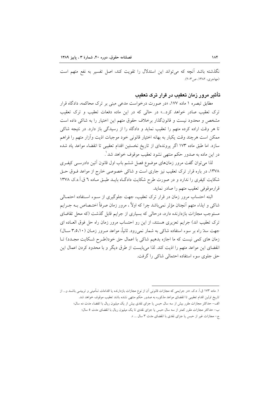نگذشته باشد آنچه که میتواند این استدلال را تقویت کند، اصل تفسیر به نفع متهم است (مهاجري، ١٣٨٢، ص٣٠٣).

تأثیر مرور زمان تعقیب در قرار ترک تعقیب

مطابق تبصره ۱ ماده ۱۷۷، «در صورت درخواست مدعی مبنی بر ترک محاکمه، دادگاه قرار ترک تعقیب صادر خواهد کرد...» در حالی که در این ماده دفعات تعقیب و ترک تعقیب مشخص و محدود نیست و قانونگذار برخلاف حقوق متهم این اختیار را به شاکی داده است تا هر وقت اراده کرده متهم را تعقیب نماید و دادگاه را از رسیدگی باز دارد. در نتیجه شاکی ممكن است هرچند وقت يكبار به بهانه اختيار قانوني خود موجبات اذيت وأزار متهم را فراهم سازد. اما طبق ماده ۱۷۳ اگر پروندهای از تاریخ نخستین اقدام تعقیبی تا انقضاء مواعد یاد شده در این ماده به صدور حکم منتهی نشود تعقیب موقوف خواهد شد ْ.

لذا می توان گفت مرور زمانهای موضوع فصل ششم باب اول قانون آئین دادرسـی کیفـری ۱۳۷۸، در باره قرار ترک تعقیب نیز جاری است و شاکی خصوصی خارج از مواعد فـوق حـق شکایت کیفری را ندارد و در صورت طرح شکایت دادگاه بایـد طبـق مـاده ٦ ق.آ.د.ک ١٣٧٨ قرارموقوفي تعقيب متهم را صادر نمايد.

البته احتساب مرور زمان در قرار ترک تعقیب، جهت جلوگیری از سـوء اسـتفاده احتمـالی شاکی و ایذاء متهم آنچنان مؤثر نمی باشد چرا که اولاً ، مرور زمان صرفاً اختـصاص بــه جــرایم مستوجب مجازات بازدارنده دارد، درحالی که بسیاری از جرایم قابل گذشت (که محل تقاضای ترک تعقیب اند) جرایم تعزیری هستند، از این رو احتساب مرور زمان راه حل فوق العـاده ای جهت سدّ راه بر سوء استفاده شاکی به شمار نمی رود. ثانیاً، مواعد مـرور زمـان (۲٬۵٬۱۰ سـال) زمان های کمی نیست که ما اجازه بدهیم شاکی با اعمال حق خود(طرح شکایت مجـدد) تـا انقضای این مواعد متهم را اذیت کند. لذا میبایست از طرق دیگر و با محدود کردن اعمال این حق جلوی سوء استفاده احتمالی شاکی را گرفت.

۱. ماده ۱۷۳ ق.آ. د.ک. «در جرایمی که مجازات قانونی آن از نوع مجازات بازدارنده یا اقدامات تـأمینی و تربیتـی باشــد و... از تاریخ اولین اقدام تعقیبی تا انقضای مواعد مذکوره به صدور حکم منتهی نشده باشد تعقیب موقوف خواهد شد. الف- حداکثر مجازات مقرر بیش از سه سال حبس یا جزای نقدی بیش از یک میلیون ریال با انقضاء مدت ده سال؛ ب- حداکثر مجازات مقرر کمتر از سه سال حبس یا جزای نقدی تا یک میلیون ریال با انقضای مدت ٥ سال؛ ج- مجازات غیر از حبس یا جزای نقدی با انقضای مدت ۳ سال ... ».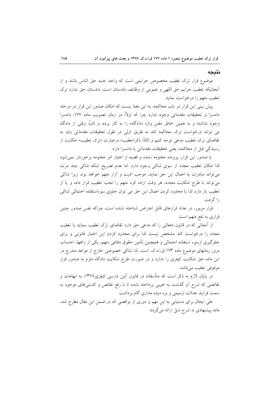#### نتىحە

موضوع قرار ترک تعقیب مخصوص جرایمی است که واجد جنبه حق الناس باشد و از أنجائيكه تعقيب جرايم حق اللهي و عمومي از وظايف دادستان است، دادستان حق ندارد ترك تعقيب متهم را درخواست نمايد.

پیش بینی این قرار در باب محاکمه، به این معنا نیست که امکان صدور این قرار در مرحله دادسرا و تحقیقات مقدماتی وجود ندارد چرا که اولاً، در زمان تصویب ماده ۱۷۷، دادسرا وجود نداشته و به همین خاطر مقنن واژه «دادگاه» را به کار برده، و ثانیاً، وقتی از دادگاه می تواند درخواست ترک محاکمه کند به طریق اولی در طول تحقیقات مقدماتی باید به تقاضای ترک تعقیب مدعی توجه کنیم و ثالثاً، ذکر«تعقیب» درعبارت «ترک تعقیب» حکایت از رسيدگي قبل از محاكمه، يعني تحقيقات مقدماتي يا دادسرا دارد.

با صدور این قرار، پرونده مختومه نشده و قضیه از اعتبار امر مختومه برخوردار نمیشود لذا امکان تعقیب مجدد از سوی شاکی وجود دارد. اما عدم تصریح اینکه شاکی چند مرتبه می تواند مبادرت به اعمال این حق نماید، موجب اذیت و آزار متهم خواهد بود، زیرا شاکی می تواند با طرح شکایت مجدد، هر وقت اراده کرد متهم را تحت تعقیب قرار داده و یا از تعقيب باز دارد لذا با محدود كردن اعمال اين حق مى توان جلوى سوءاستفاده احتمالي شاكى را گرفت.

قرار مزبور، در عداد قرارهای قابل اعتراض شناخته نشده است، چراکه نفس صدور چنین قراری به نفع متهم است.

از آنجائی که در قانون دفعاتی را که مدعی حق دارد تقاضای ترک تعقیب بنماید یا تعقیب مجدد را درخواست کند مشخص نیست لذا برای محدود کردن این اختیار قانونی و برای جلوگیری ازسوء استفاده احتمالی و همچنین تأمین حقوق دفاعی متهم، یکی از راهها، احتساب مرور زمانهای موضوع ماده ۱۷۳ ق.ا.د.ک. است. لذا شاکی خصوصی خارج از مواعد مندرج در این ماده حق شکایت کیفری را ندارد و در صورت طرح شکایت دادگاه ملزم به صدور قرار موقوفي تعقيب مي باشد.

در پایان لازم به ذکر است که متأسفانه در قانون آئین دارسی کیفری۱۳۷۸، به ابهامات و نقائصی که شرح أن گذشت به خوبی پرداخته نشده تا با رفع نقائص و کاستیهای موجود به سمت فرایند عدالت ترمیمی و بزه دیده مداری گام بر داشت.

علی ایحال برای دستیابی به این مهم و دوری از نواقصی که در ضمن این مقال مطرح شد، ماده پیشنهادی به شرح ذیل ارائه می گردد: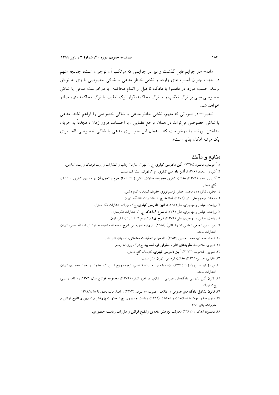ماده- «در جرایم قابل گذشت و نیز در جرایمی که مرتکب آن نوجوان است، چنانچه متهم در جهت جبران آسیب های وارده و تشفی خاطر مدعی یا شاکی خصوصی با وی به توافق برسد، حسب مورد در دادسرا یا دادگاه تا قبل از اتمام محاکمه با درخواست مدعی یا شاکی خصوصی مبنی بر ترک تعقیب و یا ترک محاکمه، قرار ترک تعقیب یا ترک محاکمه متهم صادر خواهد شد.

تبصره– در صورتی که متهم، تشفی خاطر مدعی یا شاکی خصوصی را فراهم نکند، مدعی یا شاکی خصوصی می تواند در همان مرجع قضایی ، با احتساب مرور زمان ، مجدداً به جریان انداختن پرونده را درخواست کند. اعمال این حق برای مدعی یا شاکی خصوصی فقط برای یک مرتبه امکان پذیر است».

### منابع و مآخذ

- ۱. آخوندی، محمود (۱۳۷۸)، **آئین دادرسی کیفری**، ج ۱، تهران، سازمان چاپ و انتشارات وزارت فرهنگ وارشاد اسلامی. ۲. آشوری، محمد (۱۳۸۰)، آئین دادرسی کیفری، ج ۲، تهران، انتشارات سمت.
- ۳. آشوری، محمد(۱۳۷٦)، عدالت کیفری مجموعه مقالات، نقش زیاندیده از جرم و تحول آن در دعاوی کیفری، انتشارات گنج دانش.
	- ٤. جعفرى لنگرودى، محمد جعفر، **ترمينولوژى حقوق**، كتابخانه گنج دانش.
	- ۵. دهخدا، مرحوم على اكبر (١٣٧٢)، لغتنامه، ج١٠، انتشارات دانشگاه تهران.
	- ٦. زراعت، عباس و مهاجری، علی(١٣٨٢)، **آئین دادرسی کیفری**، ج٢ ، تهران، انتشارات فکر سازان.
		- ۷. زراعت، عباس و مهاجری، علی (۱۳۷۹)، شرح ق.ا.د.ک، ج ۱، انتشارات فکرسازان.
			- ٨ زراعت، عباس و مهاجری، علی (١٣٧٩)، شرح ق.ا.د.ک.، ج ٢، انتشارات فکرسازان.
- ٩. زين الدين الجبعي العاملي (شهيد ثاني) (١٣٨٥)، الروضه البهيه في شرح المعه الدمشقيه، به كوشش اسدالله لطفي، تهران، انتشارات مجد.
	- ۱۰. شاملو احمدی، محمد حسین (۱۳۸۳)، **دادسرا و تحقیقات مقدماتی**، اصفهان، نشر دادیار.
		- ۱۱. شهری، غلامرضا، **نظریههای ادار ه حقوقی قوه قضاییه**، ج1و۲ ، روزنامه رسمی.
			- ١٢. ضرابي، غلامرضا (١٣٧٢)، آئين دادرسي كيفري، كتابخانه گنج دانش.
				- ۱۳. غلامی، حسین(۱۳۸۵)، عدالت ترمیمی، تهران، نشر سمت.
- ١٤. ليز، ژرارو فيليزولا، ژينا (١٣٧٩)، **بزه ديده و بزه ديده شناس**ي، ترجمه روح الدين كرد عليوند و احمد محمدى، تهران، انتشارات مجد.
- ۱۵. قانون آئین دادرسی دادگاههای عمومی و انقلاب در امور کیفری(۱۳۷۹)، مجموعه قوانین سال ۱۳۷۸، روزنامه رسمی، چ۱، تھران
	- ١٦. قانون تشكيل دادگاههاى عمومى و انقلاب، مصوب ١٥ تيرماه (١٣٧٣) و اصلاحات بعدى تا ١٣٨١/٧/٢٨.
- ۱۷. قانون صدور چک با اصلاحات و الحاقات (۱۳۸۲)، ریاست جمهوری، چ<mark>، معاونت پژوهش و تدوین و تنقیح قوانین و</mark> مقررات، يائيز ١٣٨٣.
	- ١٨. مجموعه /دکه. ، (١٣٨١) معاونت يژوهش ،تدوين وتنقيح قوانين و مقررات رياست جمهوري.